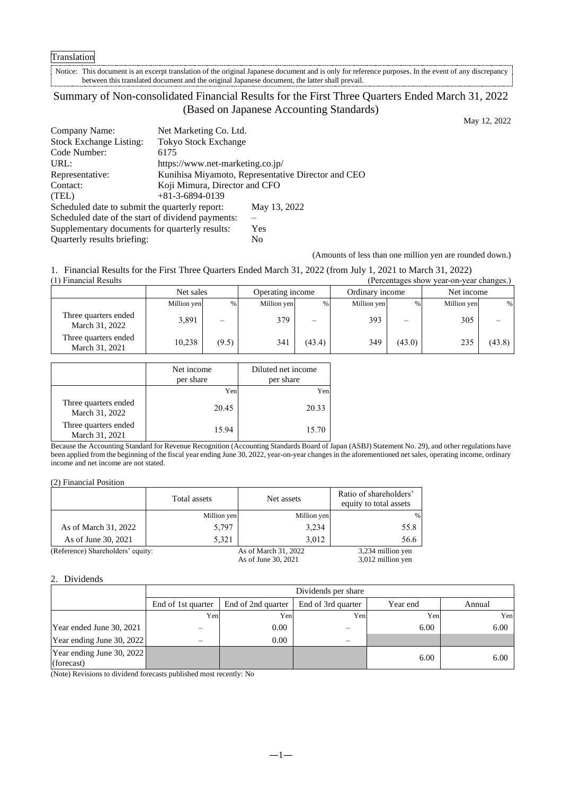## Translation

Notice: This document is an excerpt translation of the original Japanese document and is only for reference purposes. In the event of any discrepancy between this translated document and the original Japanese document, the latter shall prevail.

# Summary of Non-consolidated Financial Results for the First Three Quarters Ended March 31, 2022 (Based on Japanese Accounting Standards)

May 12, 2022

| Company Name:                                     | Net Marketing Co. Ltd.                             |                |  |
|---------------------------------------------------|----------------------------------------------------|----------------|--|
| <b>Stock Exchange Listing:</b>                    | <b>Tokyo Stock Exchange</b>                        |                |  |
| Code Number:                                      | 6175                                               |                |  |
| URL:                                              | https://www.net-marketing.co.jp/                   |                |  |
| Representative:                                   | Kunihisa Miyamoto, Representative Director and CEO |                |  |
| Contact:                                          | Koji Mimura, Director and CFO                      |                |  |
| (TEL)                                             | $+81-3-6894-0139$                                  |                |  |
| Scheduled date to submit the quarterly report:    |                                                    | May 13, 2022   |  |
| Scheduled date of the start of dividend payments: |                                                    |                |  |
| Supplementary documents for quarterly results:    |                                                    | Yes            |  |
| Quarterly results briefing:                       |                                                    | N <sub>0</sub> |  |

(Amounts of less than one million yen are rounded down.)

1. Financial Results for the First Three Quarters Ended March 31, 2022 (from July 1, 2021 to March 31, 2022)

| (1) Financial Results<br>(Percentages show year-on-year changes.) |             |                          |             |                  |             |                 |             |            |
|-------------------------------------------------------------------|-------------|--------------------------|-------------|------------------|-------------|-----------------|-------------|------------|
|                                                                   |             | Net sales                |             | Operating income |             | Ordinary income |             | Net income |
|                                                                   | Million yen | %                        | Million yen | %                | Million yen | %               | Million yen | %          |
| Three quarters ended<br>March 31, 2022                            | 3,891       | $\overline{\phantom{0}}$ | 379         | —                | 393         | —               | 305         |            |
| Three quarters ended<br>March 31, 2021                            | 10,238      | (9.5)                    | 341         | (43.4)           | 349         | (43.0)          | 235         | (43.8)     |

|                                        | Net income<br>per share | Diluted net income<br>per share |
|----------------------------------------|-------------------------|---------------------------------|
|                                        | Yen                     | Yen                             |
| Three quarters ended<br>March 31, 2022 | 20.45                   | 20.33                           |
| Three quarters ended<br>March 31, 2021 | 15.94                   | 15.70                           |

Because the Accounting Standard for Revenue Recognition (Accounting Standards Board of Japan (ASBJ) Statement No. 29), and other regulations have been applied from the beginning of the fiscal year ending June 30, 2022, year-on-year changes in the aforementioned net sales, operating income, ordinary income and net income are not stated.

|  |  | (2) Financial Position |
|--|--|------------------------|
|--|--|------------------------|

|                                   | Total assets | Net assets           | Ratio of shareholders'<br>equity to total assets |
|-----------------------------------|--------------|----------------------|--------------------------------------------------|
|                                   | Million yen  | Million yen          | %                                                |
| As of March 31, 2022              | 5,797        | 3,234                | 55.8                                             |
| As of June 30, 2021               | 5.321        | 3.012                | 56.6                                             |
| (Reference) Shareholders' equity: |              | As of March 31, 2022 | 3,234 million yen                                |
|                                   |              | As of June 30, 2021  | 3,012 million yen                                |

#### 2. Dividends

| Dividends per share       |                    |                                                                                                              |          |            |  |
|---------------------------|--------------------|--------------------------------------------------------------------------------------------------------------|----------|------------|--|
| End of 1st quarter        | End of 2nd quarter | End of 3rd quarter                                                                                           | Year end | Annual     |  |
|                           |                    |                                                                                                              |          | Yen        |  |
|                           | 0.00               |                                                                                                              | 6.00     | 6.00       |  |
| Year ending June 30, 2022 | 0.00               |                                                                                                              |          |            |  |
| Year ending June 30, 2022 |                    |                                                                                                              | 6.00     | 6.00       |  |
|                           |                    | Yen<br>$\Delta T$ , $\Delta T$ , $\Delta T$ , $\Delta T$ , $\Delta T$ , $\Delta T$ , $\Delta T$ , $\Delta T$ | Yen      | Yen<br>Yen |  |

(Note) Revisions to dividend forecasts published most recently: No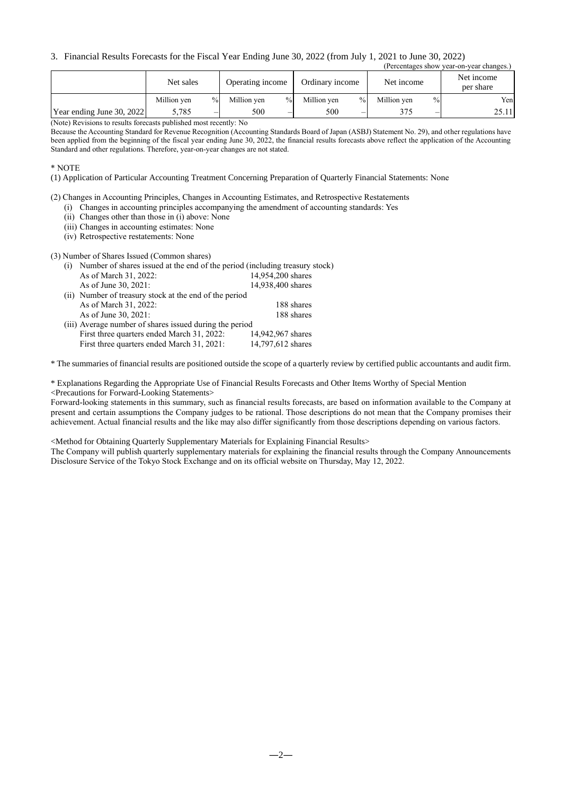## 3. Financial Results Forecasts for the Fiscal Year Ending June 30, 2022 (from July 1, 2021 to June 30, 2022)

| (Percentages show year-on-year changes.) |             |               |                  |      |                 |      |             |      |                         |
|------------------------------------------|-------------|---------------|------------------|------|-----------------|------|-------------|------|-------------------------|
|                                          | Net sales   |               | Operating income |      | Ordinary income |      | Net income  |      | Net income<br>per share |
|                                          | Million yen | $\frac{0}{0}$ | Million ven      | $\%$ | Million yen     | $\%$ | Million yen | $\%$ | Yen                     |
| Year ending June 30, 2022                | 5,785       |               | 500              | -    | 500             | -    | 375         |      | 25.11                   |

(Note) Revisions to results forecasts published most recently: No

Because the Accounting Standard for Revenue Recognition (Accounting Standards Board of Japan (ASBJ) Statement No. 29), and other regulations have been applied from the beginning of the fiscal year ending June 30, 2022, the financial results forecasts above reflect the application of the Accounting Standard and other regulations. Therefore, year-on-year changes are not stated.

\* NOTE

(1) Application of Particular Accounting Treatment Concerning Preparation of Quarterly Financial Statements: None

(2) Changes in Accounting Principles, Changes in Accounting Estimates, and Retrospective Restatements

(i) Changes in accounting principles accompanying the amendment of accounting standards: Yes

(ii) Changes other than those in (i) above: None

(iii) Changes in accounting estimates: None

(iv) Retrospective restatements: None

(3) Number of Shares Issued (Common shares)

| Number of shares issued at the end of the period (including treasury stock) |                   |  |  |  |
|-----------------------------------------------------------------------------|-------------------|--|--|--|
| As of March 31, 2022:                                                       | 14,954,200 shares |  |  |  |
| As of June 30, 2021:                                                        | 14,938,400 shares |  |  |  |
| (ii) Number of treasury stock at the end of the period                      |                   |  |  |  |
| As of March 31, 2022:                                                       | 188 shares        |  |  |  |
| As of June 30, 2021:                                                        | 188 shares        |  |  |  |
| (iii) Average number of shares issued during the period                     |                   |  |  |  |
| First three quarters ended March 31, 2022:                                  | 14,942,967 shares |  |  |  |
| First three quarters ended March 31, 2021:                                  | 14,797,612 shares |  |  |  |

\* The summaries of financial results are positioned outside the scope of a quarterly review by certified public accountants and audit firm.

\* Explanations Regarding the Appropriate Use of Financial Results Forecasts and Other Items Worthy of Special Mention <Precautions for Forward-Looking Statements>

Forward-looking statements in this summary, such as financial results forecasts, are based on information available to the Company at present and certain assumptions the Company judges to be rational. Those descriptions do not mean that the Company promises their achievement. Actual financial results and the like may also differ significantly from those descriptions depending on various factors.

<Method for Obtaining Quarterly Supplementary Materials for Explaining Financial Results>

The Company will publish quarterly supplementary materials for explaining the financial results through the Company Announcements Disclosure Service of the Tokyo Stock Exchange and on its official website on Thursday, May 12, 2022.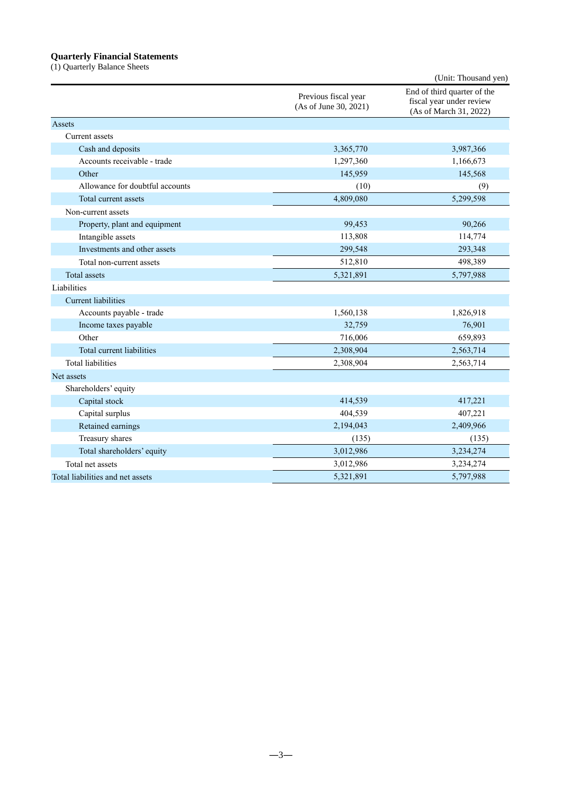## **Quarterly Financial Statements**

(1) Quarterly Balance Sheets

|                                  |                                               | (Unit: Thousand yen)                                                              |
|----------------------------------|-----------------------------------------------|-----------------------------------------------------------------------------------|
|                                  | Previous fiscal year<br>(As of June 30, 2021) | End of third quarter of the<br>fiscal year under review<br>(As of March 31, 2022) |
| Assets                           |                                               |                                                                                   |
| Current assets                   |                                               |                                                                                   |
| Cash and deposits                | 3,365,770                                     | 3,987,366                                                                         |
| Accounts receivable - trade      | 1,297,360                                     | 1,166,673                                                                         |
| Other                            | 145,959                                       | 145,568                                                                           |
| Allowance for doubtful accounts  | (10)                                          | (9)                                                                               |
| Total current assets             | 4,809,080                                     | 5,299,598                                                                         |
| Non-current assets               |                                               |                                                                                   |
| Property, plant and equipment    | 99,453                                        | 90,266                                                                            |
| Intangible assets                | 113,808                                       | 114,774                                                                           |
| Investments and other assets     | 299,548                                       | 293,348                                                                           |
| Total non-current assets         | 512,810                                       | 498,389                                                                           |
| <b>Total</b> assets              | 5,321,891                                     | 5,797,988                                                                         |
| Liabilities                      |                                               |                                                                                   |
| <b>Current liabilities</b>       |                                               |                                                                                   |
| Accounts payable - trade         | 1,560,138                                     | 1,826,918                                                                         |
| Income taxes payable             | 32,759                                        | 76,901                                                                            |
| Other                            | 716,006                                       | 659,893                                                                           |
| Total current liabilities        | 2,308,904                                     | 2,563,714                                                                         |
| <b>Total liabilities</b>         | 2,308,904                                     | 2,563,714                                                                         |
| Net assets                       |                                               |                                                                                   |
| Shareholders' equity             |                                               |                                                                                   |
| Capital stock                    | 414,539                                       | 417,221                                                                           |
| Capital surplus                  | 404,539                                       | 407,221                                                                           |
| Retained earnings                | 2,194,043                                     | 2,409,966                                                                         |
| Treasury shares                  | (135)                                         | (135)                                                                             |
| Total shareholders' equity       | 3,012,986                                     | 3,234,274                                                                         |
| Total net assets                 | 3,012,986                                     | 3,234,274                                                                         |
| Total liabilities and net assets | 5,321,891                                     | 5,797,988                                                                         |